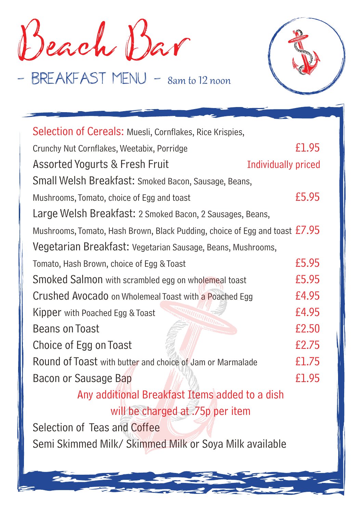Beach Bar

- BREAKFAST MENU - 8am to 12 noon



| Selection of Cereals: Muesli, Cornflakes, Rice Krispies,                      |       |
|-------------------------------------------------------------------------------|-------|
| Crunchy Nut Cornflakes, Weetabix, Porridge                                    | £1.95 |
| <b>Assorted Yogurts &amp; Fresh Fruit</b><br><b>Individually priced</b>       |       |
| Small Welsh Breakfast: Smoked Bacon, Sausage, Beans,                          |       |
| Mushrooms, Tomato, choice of Egg and toast                                    | £5.95 |
| Large Welsh Breakfast: 2 Smoked Bacon, 2 Sausages, Beans,                     |       |
| Mushrooms, Tomato, Hash Brown, Black Pudding, choice of Egg and toast $£7.95$ |       |
| Vegetarian Breakfast: Vegetarian Sausage, Beans, Mushrooms,                   |       |
| Tomato, Hash Brown, choice of Egg & Toast                                     | £5.95 |
| Smoked Salmon with scrambled egg on wholemeal toast                           | £5.95 |
| Crushed Avocado on Wholemeal Toast with a Poached Egg                         | £4.95 |
| Kipper with Poached Egg & Toast                                               | £4.95 |
| <b>Beans on Toast</b>                                                         | £2.50 |
| Choice of Egg on Toast                                                        | £2.75 |
| Round of Toast with butter and choice of Jam or Marmalade                     | £1.75 |
| Bacon or Sausage Bap                                                          | £1.95 |
| Any additional Breakfast Items added to a dish                                |       |
| will be charged at .75p per item                                              |       |
| Selection of Teas and Coffee                                                  |       |

Semi Skimmed Milk/ Skimmed Milk or Soya Milk available